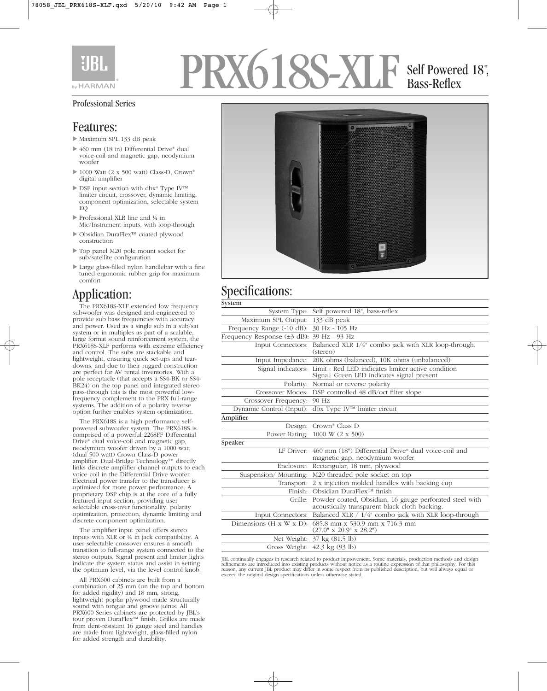

# PRX618S-XL Self Powered 18", Bass-Reflex

#### Professional Series

#### Features:

- Maximum SPL 133 dB peak
- ▶ 460 mm (18 in) Differential Drive® dual voice-coil and magnetic gap, neodymium woofer
- ▶ 1000 Watt (2 x 500 watt) Class-D, Crown® digital amplifier
- ► DSP input section with dbx® Type IV™ limiter circuit, crossover, dynamic limiting, component optimization, selectable system EQ
- ▶ Professional XLR line and ¼ in Mic/Instrument inputs, with loop-through
- Obsidian DuraFlex™ coated plywood construction
- Top panel M20 pole mount socket for sub/satellite configuration
- Large glass-filled nylon handlebar with a fine tuned ergonomic rubber grip for maximum comfort

### Application:

The PRX618S-XLF extended low frequency subwoofer was designed and engineered to provide sub bass frequencies with accuracy and power. Used as a single sub in a sub/sat system or in multiples as part of a scalable, large format sound reinforcement system, the PRX618S-XLF performs with extreme efficiency and control. The subs are stackable and lightweight, ensuring quick set-ups and teardowns, and due to their rugged construction are perfect for AV rental inventories. With a pole receptacle (that accepts a SS4-BK or SS4- BK24) on the top panel and integrated stereo pass-through this is the most powerful lowfrequency complement to the PRX full-range systems. The addition of a polarity reverse option further enables system optimization.

The PRX618S is a high performance selfpowered subwoofer system. The PRX618S is comprised of a powerful 2268FF Differential Drive® dual voice-coil and magnetic gap, neodymium woofer driven by a 1000 watt (dual 500 watt) Crown Class-D power amplifier. Dual-Bridge Technology™ directly links discrete amplifier channel outputs to each voice coil in the Differential Drive woofer. Electrical power transfer to the transducer is optimized for more power performance. A proprietary DSP chip is at the core of a fully featured input section, providing user selectable cross-over functionality, polarity optimization, protection, dynamic limiting and discrete component optimization.

The amplifier input panel offers stereo inputs with XLR or ¼ in jack compatibility. A user selectable crossover ensures a smooth transition to full-range system connected to the stereo outputs. Signal present and limiter lights indicate the system status and assist in setting the optimum level, via the level control knob.

All PRX600 cabinets are built from a combination of 25 mm (on the top and bottom for added rigidity) and 18 mm, strong, lightweight poplar plywood made structurally sound with tongue and groove joints. All PRX600 Series cabinets are protected by JBL's tour proven DuraFlex™ finish. Grilles are made from dent-resistant 16 gauge steel and handles are made from lightweight, glass-filled nylon for added strength and durability.



# Specifications:

| System Type: Self powered 18", bass-reflex                                                                          |
|---------------------------------------------------------------------------------------------------------------------|
| Maximum SPL Output:<br>133 dB peak                                                                                  |
| Frequency Range (-10 dB):<br>30 Hz - 105 Hz                                                                         |
| Frequency Response $(\pm 3$ dB): $39$ Hz - 93 Hz                                                                    |
| <b>Input Connectors:</b><br>Balanced XLR 1/4" combo jack with XLR loop-through.<br>(stereo)                         |
| Input Impedance: 20K ohms (balanced), 10K ohms (unbalanced)                                                         |
| Signal indicators: Limit : Red LED indicates limiter active condition<br>Signal: Green LED indicates signal present |
| Polarity: Normal or reverse polarity                                                                                |
| Crossover Modes: DSP controlled 48 dB/oct filter slope                                                              |
| 90 Hz<br>Crossover Frequency:                                                                                       |
| dbx Type IV™ limiter circuit<br>Dynamic Control (Input):                                                            |
|                                                                                                                     |
| Design: Crown® Class D                                                                                              |
| Power Rating: 1000 W (2 x 500)                                                                                      |
|                                                                                                                     |
| LF Driver: 460 mm (18") Differential Drive® dual voice-coil and<br>magnetic gap, neodymium woofer                   |
| Enclosure:<br>Rectangular, 18 mm, plywood                                                                           |
| M20 threaded pole socket on top<br>Suspension/Mounting:                                                             |
| Transport: 2 x injection molded handles with backing cup                                                            |
| Finish: Obsidian DuraFlex™ finish                                                                                   |
| Grille:<br>Powder coated, Obsidian, 16 gauge perforated steel with<br>acoustically transparent black cloth backing. |
| Input Connectors: Balanced XLR / 1/4" combo jack with XLR loop-through                                              |
| 685.8 mm x 530.9 mm x 716.3 mm<br>Dimensions $(H \times W \times D)$ :<br>$(27.0" \times 20.9" \times 28.2")$       |
| Net Weight: 37 kg (81.5 lb)                                                                                         |
| Gross Weight: 42.3 kg (93 lb)                                                                                       |
|                                                                                                                     |

JBL continually engages in research related to product improvement. Some materials, production methods and design refinements are introduced into existing products without notice as a routine expression of that philosophy. For this<br>reason, any current JBL product may differ in some respect from its published description, but will alwa exceed the original design specifications unless otherwise stated.